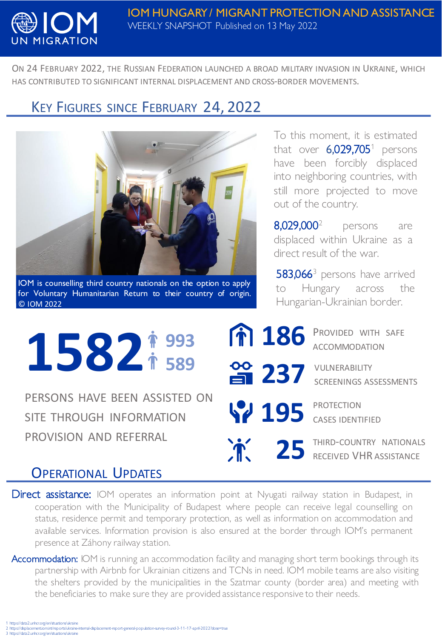

ON 24 FEBRUARY 2022, THE RUSSIAN FEDERATION LAUNCHED A BROAD MILITARY INVASION IN UKRAINE, WHICH HAS CONTRIBUTED TO SIGNIFICANT INTERNAL DISPLACEMENT AND CROSS-BORDER MOVEMENTS.

## KEY FIGURES SINCE FEBRUARY 24, 2022



IOM is counselling third country nationals on the option to apply for Voluntary Humanitarian Return to their country of origin. © IOM 2022

To this moment, it is estimated that over  $6,029,705$ <sup>1</sup> persons have been forcibly displaced into neighboring countries, with still more projected to move out of the country.

8,029,000<sup>2</sup> persons are displaced within Ukraine as a direct result of the war.

583,066<sup>3</sup> persons have arrived to Hungary across the Hungarian-Ukrainian border.

186 PROVIDED WITH SAFE ACCOMMODATION 1582<sup>#993</sup> ACCOMMODATION **589 237** VULNERABILITY SCREENINGS ASSESSMENTS PERSONS HAVE BEEN ASSISTED ON **195** PROTECTION SITE THROUGH INFORMATION CASES IDENTIFIED 25 THIRD-COUNTRY NATIONALS PROVISION AND REFERRAL  $\mathbf{\hat{r}}$ RECEIVED VHR ASSISTANCE

## OPERATIONAL UPDATES

**Direct assistance:** IOM operates an information point at Nyugati railway station in Budapest, in cooperation with the Municipality of Budapest where people can receive legal counselling on status, residence permit and temporary protection, as well as information on accommodation and available services. Information provision is also ensured at the border through IOM's permanent presence at Záhony railway station.

Accommodation: IOM is running an accommodation facility and managing short term bookings through its partnership with Airbnb for Ukrainian citizens and TCNs in need. IOM mobile teams are also visiting the shelters provided by the municipalities in the Szatmar county (border area) and meeting with the beneficiaries to make sure they are provided assistance responsive to their needs.

1 https://data2.unhcr.org/en/situations/ukraine<br>2 https://displacement.iom.int/reports/ukraine-internal-displacement-report-general-population-survey-round-3-11-17-april-2022?dose=true 3 https://data2.unhcr.org/en/situations/ukraine